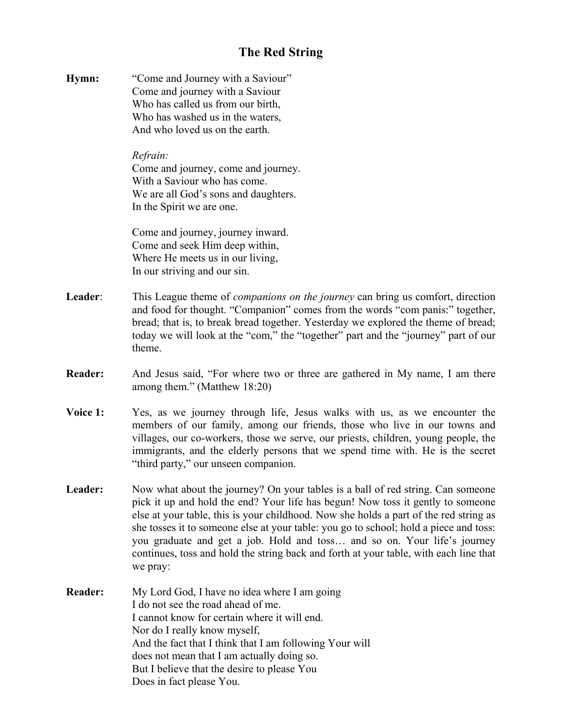## **The Red String**

**Hymn:** "Come and Journey with a Saviour" Come and journey with a Saviour Who has called us from our birth, Who has washed us in the waters, And who loved us on the earth.

## *Refrain:*

Come and journey, come and journey. With a Saviour who has come. We are all God's sons and daughters. In the Spirit we are one.

Come and journey, journey inward. Come and seek Him deep within, Where He meets us in our living, In our striving and our sin.

- **Leader**: This League theme of *companions on the journey* can bring us comfort, direction and food for thought. "Companion" comes from the words "com panis:" together, bread; that is, to break bread together. Yesterday we explored the theme of bread; today we will look at the "com," the "together" part and the "journey" part of our theme.
- **Reader:** And Jesus said, "For where two or three are gathered in My name, I am there among them." (Matthew 18:20)
- **Voice 1:** Yes, as we journey through life, Jesus walks with us, as we encounter the members of our family, among our friends, those who live in our towns and villages, our co-workers, those we serve, our priests, children, young people, the immigrants, and the elderly persons that we spend time with. He is the secret "third party," our unseen companion.
- Leader: Now what about the journey? On your tables is a ball of red string. Can someone pick it up and hold the end? Your life has begun! Now toss it gently to someone else at your table, this is your childhood. Now she holds a part of the red string as she tosses it to someone else at your table: you go to school; hold a piece and toss: you graduate and get a job. Hold and toss… and so on. Your life's journey continues, toss and hold the string back and forth at your table, with each line that we pray:
- **Reader:** My Lord God, I have no idea where I am going I do not see the road ahead of me. I cannot know for certain where it will end. Nor do I really know myself, And the fact that I think that I am following Your will does not mean that I am actually doing so. But I believe that the desire to please You Does in fact please You.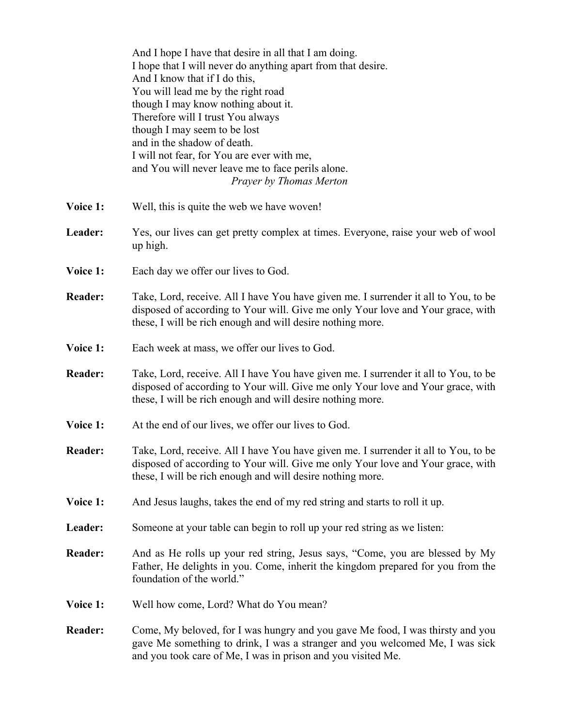|                | And I hope I have that desire in all that I am doing.<br>I hope that I will never do anything apart from that desire.<br>And I know that if I do this,<br>You will lead me by the right road<br>though I may know nothing about it.<br>Therefore will I trust You always<br>though I may seem to be lost<br>and in the shadow of death.<br>I will not fear, for You are ever with me,<br>and You will never leave me to face perils alone.<br>Prayer by Thomas Merton |
|----------------|-----------------------------------------------------------------------------------------------------------------------------------------------------------------------------------------------------------------------------------------------------------------------------------------------------------------------------------------------------------------------------------------------------------------------------------------------------------------------|
| Voice 1:       | Well, this is quite the web we have woven!                                                                                                                                                                                                                                                                                                                                                                                                                            |
| Leader:        | Yes, our lives can get pretty complex at times. Everyone, raise your web of wool<br>up high.                                                                                                                                                                                                                                                                                                                                                                          |
| Voice 1:       | Each day we offer our lives to God.                                                                                                                                                                                                                                                                                                                                                                                                                                   |
| <b>Reader:</b> | Take, Lord, receive. All I have You have given me. I surrender it all to You, to be<br>disposed of according to Your will. Give me only Your love and Your grace, with<br>these, I will be rich enough and will desire nothing more.                                                                                                                                                                                                                                  |
| Voice 1:       | Each week at mass, we offer our lives to God.                                                                                                                                                                                                                                                                                                                                                                                                                         |
| <b>Reader:</b> | Take, Lord, receive. All I have You have given me. I surrender it all to You, to be<br>disposed of according to Your will. Give me only Your love and Your grace, with<br>these, I will be rich enough and will desire nothing more.                                                                                                                                                                                                                                  |
| Voice 1:       | At the end of our lives, we offer our lives to God.                                                                                                                                                                                                                                                                                                                                                                                                                   |
| <b>Reader:</b> | Take, Lord, receive. All I have You have given me. I surrender it all to You, to be<br>disposed of according to Your will. Give me only Your love and Your grace, with<br>these, I will be rich enough and will desire nothing more.                                                                                                                                                                                                                                  |
| Voice 1:       | And Jesus laughs, takes the end of my red string and starts to roll it up.                                                                                                                                                                                                                                                                                                                                                                                            |
| Leader:        | Someone at your table can begin to roll up your red string as we listen:                                                                                                                                                                                                                                                                                                                                                                                              |
| <b>Reader:</b> | And as He rolls up your red string, Jesus says, "Come, you are blessed by My<br>Father, He delights in you. Come, inherit the kingdom prepared for you from the<br>foundation of the world."                                                                                                                                                                                                                                                                          |
| Voice 1:       | Well how come, Lord? What do You mean?                                                                                                                                                                                                                                                                                                                                                                                                                                |
| <b>Reader:</b> | Come, My beloved, for I was hungry and you gave Me food, I was thirsty and you<br>gave Me something to drink, I was a stranger and you welcomed Me, I was sick<br>and you took care of Me, I was in prison and you visited Me.                                                                                                                                                                                                                                        |